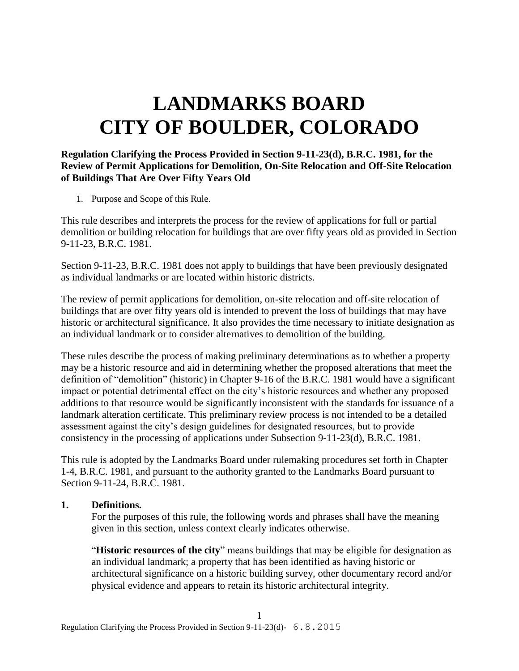# **LANDMARKS BOARD CITY OF BOULDER, COLORADO**

#### **Regulation Clarifying the Process Provided in Section 9-11-23(d), B.R.C. 1981, for the Review of Permit Applications for Demolition, On-Site Relocation and Off-Site Relocation of Buildings That Are Over Fifty Years Old**

1. Purpose and Scope of this Rule.

This rule describes and interprets the process for the review of applications for full or partial demolition or building relocation for buildings that are over fifty years old as provided in Section 9-11-23, B.R.C. 1981.

Section 9-11-23, B.R.C. 1981 does not apply to buildings that have been previously designated as individual landmarks or are located within historic districts.

The review of permit applications for demolition, on-site relocation and off-site relocation of buildings that are over fifty years old is intended to prevent the loss of buildings that may have historic or architectural significance. It also provides the time necessary to initiate designation as an individual landmark or to consider alternatives to demolition of the building.

These rules describe the process of making preliminary determinations as to whether a property may be a historic resource and aid in determining whether the proposed alterations that meet the definition of "demolition" (historic) in Chapter 9-16 of the B.R.C. 1981 would have a significant impact or potential detrimental effect on the city's historic resources and whether any proposed additions to that resource would be significantly inconsistent with the standards for issuance of a landmark alteration certificate. This preliminary review process is not intended to be a detailed assessment against the city's design guidelines for designated resources, but to provide consistency in the processing of applications under Subsection 9-11-23(d), B.R.C. 1981.

This rule is adopted by the Landmarks Board under rulemaking procedures set forth in Chapter 1-4, B.R.C. 1981, and pursuant to the authority granted to the Landmarks Board pursuant to Section 9-11-24, B.R.C. 1981.

#### **1. Definitions.**

For the purposes of this rule, the following words and phrases shall have the meaning given in this section, unless context clearly indicates otherwise.

"**Historic resources of the city**" means buildings that may be eligible for designation as an individual landmark; a property that has been identified as having historic or architectural significance on a historic building survey, other documentary record and/or physical evidence and appears to retain its historic architectural integrity.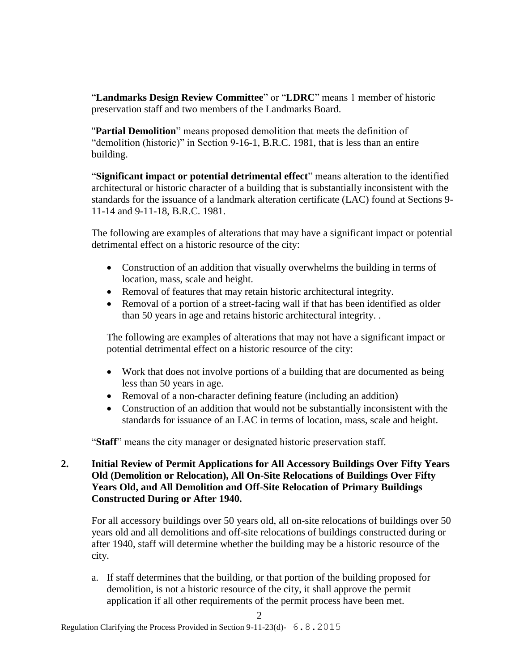"**Landmarks Design Review Committee**" or "**LDRC**" means 1 member of historic preservation staff and two members of the Landmarks Board.

"**Partial Demolition**" means proposed demolition that meets the definition of "demolition (historic)" in Section 9-16-1, B.R.C. 1981, that is less than an entire building.

"**Significant impact or potential detrimental effect**" means alteration to the identified architectural or historic character of a building that is substantially inconsistent with the standards for the issuance of a landmark alteration certificate (LAC) found at Sections 9- 11-14 and 9-11-18, B.R.C. 1981.

The following are examples of alterations that may have a significant impact or potential detrimental effect on a historic resource of the city:

- Construction of an addition that visually overwhelms the building in terms of location, mass, scale and height.
- Removal of features that may retain historic architectural integrity.
- Removal of a portion of a street-facing wall if that has been identified as older than 50 years in age and retains historic architectural integrity. .

The following are examples of alterations that may not have a significant impact or potential detrimental effect on a historic resource of the city:

- Work that does not involve portions of a building that are documented as being less than 50 years in age.
- Removal of a non-character defining feature (including an addition)
- Construction of an addition that would not be substantially inconsistent with the standards for issuance of an LAC in terms of location, mass, scale and height.

"**Staff**" means the city manager or designated historic preservation staff.

## **2. Initial Review of Permit Applications for All Accessory Buildings Over Fifty Years Old (Demolition or Relocation), All On-Site Relocations of Buildings Over Fifty Years Old, and All Demolition and Off-Site Relocation of Primary Buildings Constructed During or After 1940.**

For all accessory buildings over 50 years old, all on-site relocations of buildings over 50 years old and all demolitions and off-site relocations of buildings constructed during or after 1940, staff will determine whether the building may be a historic resource of the city.

a. If staff determines that the building, or that portion of the building proposed for demolition, is not a historic resource of the city, it shall approve the permit application if all other requirements of the permit process have been met.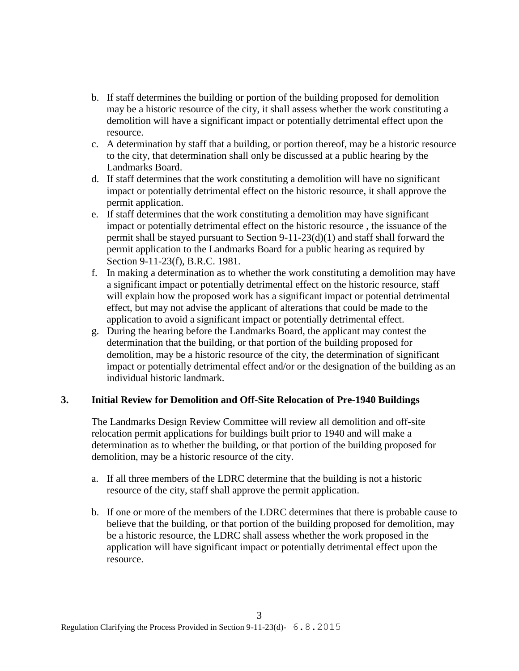- b. If staff determines the building or portion of the building proposed for demolition may be a historic resource of the city, it shall assess whether the work constituting a demolition will have a significant impact or potentially detrimental effect upon the resource.
- c. A determination by staff that a building, or portion thereof, may be a historic resource to the city, that determination shall only be discussed at a public hearing by the Landmarks Board.
- d. If staff determines that the work constituting a demolition will have no significant impact or potentially detrimental effect on the historic resource, it shall approve the permit application.
- e. If staff determines that the work constituting a demolition may have significant impact or potentially detrimental effect on the historic resource , the issuance of the permit shall be stayed pursuant to Section 9-11-23(d)(1) and staff shall forward the permit application to the Landmarks Board for a public hearing as required by Section 9-11-23(f), B.R.C. 1981.
- f. In making a determination as to whether the work constituting a demolition may have a significant impact or potentially detrimental effect on the historic resource, staff will explain how the proposed work has a significant impact or potential detrimental effect, but may not advise the applicant of alterations that could be made to the application to avoid a significant impact or potentially detrimental effect.
- g. During the hearing before the Landmarks Board, the applicant may contest the determination that the building, or that portion of the building proposed for demolition, may be a historic resource of the city, the determination of significant impact or potentially detrimental effect and/or or the designation of the building as an individual historic landmark.

## **3. Initial Review for Demolition and Off-Site Relocation of Pre-1940 Buildings**

The Landmarks Design Review Committee will review all demolition and off-site relocation permit applications for buildings built prior to 1940 and will make a determination as to whether the building, or that portion of the building proposed for demolition, may be a historic resource of the city.

- a. If all three members of the LDRC determine that the building is not a historic resource of the city, staff shall approve the permit application.
- b. If one or more of the members of the LDRC determines that there is probable cause to believe that the building, or that portion of the building proposed for demolition, may be a historic resource, the LDRC shall assess whether the work proposed in the application will have significant impact or potentially detrimental effect upon the resource.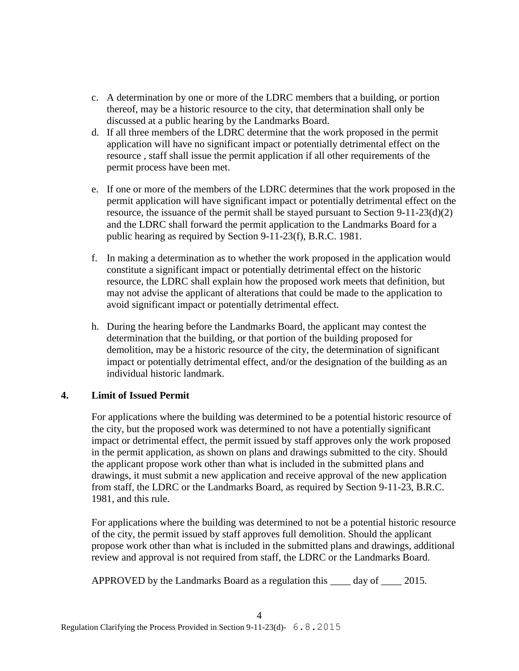- c. A determination by one or more of the LDRC members that a building, or portion thereof, may be a historic resource to the city, that determination shall only be discussed at a public hearing by the Landmarks Board.
- d. If all three members of the LDRC determine that the work proposed in the permit application will have no significant impact or potentially detrimental effect on the resource , staff shall issue the permit application if all other requirements of the permit process have been met.
- e. If one or more of the members of the LDRC determines that the work proposed in the permit application will have significant impact or potentially detrimental effect on the resource, the issuance of the permit shall be stayed pursuant to Section  $9-11-23(d)(2)$ and the LDRC shall forward the permit application to the Landmarks Board for a public hearing as required by Section 9-11-23(f), B.R.C. 1981.
- f. In making a determination as to whether the work proposed in the application would constitute a significant impact or potentially detrimental effect on the historic resource, the LDRC shall explain how the proposed work meets that definition, but may not advise the applicant of alterations that could be made to the application to avoid significant impact or potentially detrimental effect.
- h. During the hearing before the Landmarks Board, the applicant may contest the determination that the building, or that portion of the building proposed for demolition, may be a historic resource of the city, the determination of significant impact or potentially detrimental effect, and/or the designation of the building as an individual historic landmark.

## **4. Limit of Issued Permit**

For applications where the building was determined to be a potential historic resource of the city, but the proposed work was determined to not have a potentially significant impact or detrimental effect, the permit issued by staff approves only the work proposed in the permit application, as shown on plans and drawings submitted to the city. Should the applicant propose work other than what is included in the submitted plans and drawings, it must submit a new application and receive approval of the new application from staff, the LDRC or the Landmarks Board, as required by Section 9-11-23, B.R.C. 1981, and this rule.

For applications where the building was determined to not be a potential historic resource of the city, the permit issued by staff approves full demolition. Should the applicant propose work other than what is included in the submitted plans and drawings, additional review and approval is not required from staff, the LDRC or the Landmarks Board.

APPROVED by the Landmarks Board as a regulation this \_\_\_\_ day of \_\_\_\_ 2015.